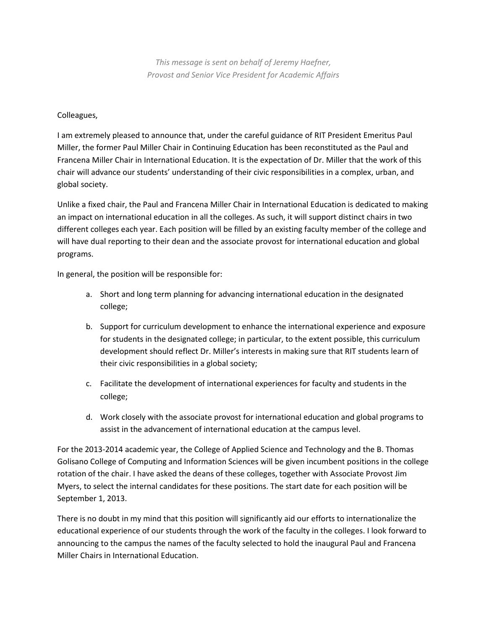*This message is sent on behalf of Jeremy Haefner, Provost and Senior Vice President for Academic Affairs*

## Colleagues,

I am extremely pleased to announce that, under the careful guidance of RIT President Emeritus Paul Miller, the former Paul Miller Chair in Continuing Education has been reconstituted as the Paul and Francena Miller Chair in International Education. It is the expectation of Dr. Miller that the work of this chair will advance our students' understanding of their civic responsibilities in a complex, urban, and global society.

Unlike a fixed chair, the Paul and Francena Miller Chair in International Education is dedicated to making an impact on international education in all the colleges. As such, it will support distinct chairs in two different colleges each year. Each position will be filled by an existing faculty member of the college and will have dual reporting to their dean and the associate provost for international education and global programs.

In general, the position will be responsible for:

- a. Short and long term planning for advancing international education in the designated college;
- b. Support for curriculum development to enhance the international experience and exposure for students in the designated college; in particular, to the extent possible, this curriculum development should reflect Dr. Miller's interests in making sure that RIT students learn of their civic responsibilities in a global society;
- c. Facilitate the development of international experiences for faculty and students in the college;
- d. Work closely with the associate provost for international education and global programs to assist in the advancement of international education at the campus level.

For the 2013-2014 academic year, the College of Applied Science and Technology and the B. Thomas Golisano College of Computing and Information Sciences will be given incumbent positions in the college rotation of the chair. I have asked the deans of these colleges, together with Associate Provost Jim Myers, to select the internal candidates for these positions. The start date for each position will be September 1, 2013.

There is no doubt in my mind that this position will significantly aid our efforts to internationalize the educational experience of our students through the work of the faculty in the colleges. I look forward to announcing to the campus the names of the faculty selected to hold the inaugural Paul and Francena Miller Chairs in International Education.